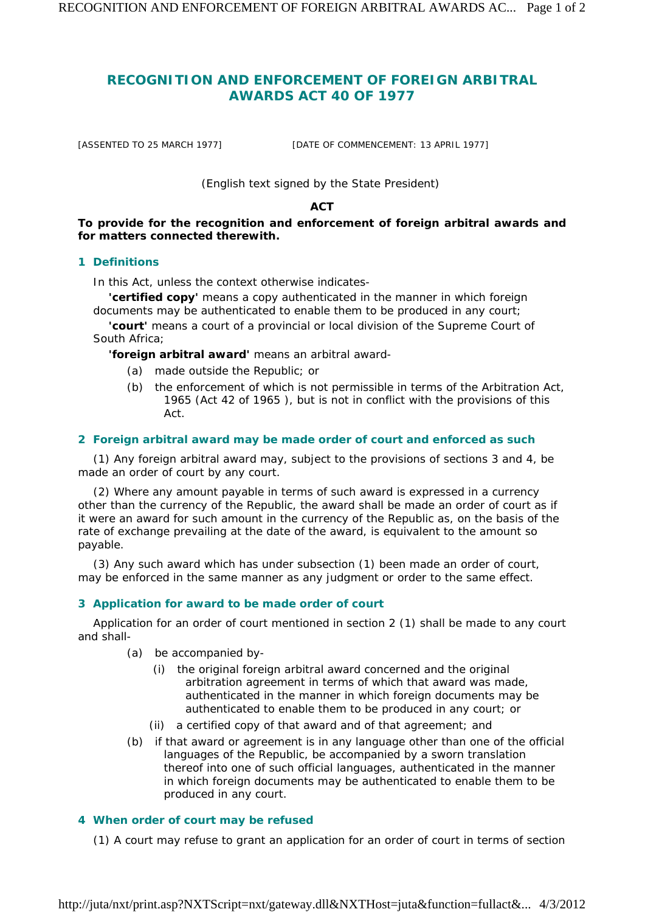# **RECOGNITION AND ENFORCEMENT OF FOREIGN ARBITRAL AWARDS ACT 40 OF 1977**

[ASSENTED TO 25 MARCH 1977] [DATE OF COMMENCEMENT: 13 APRIL 1977]

# *(English text signed by the State President)*

# **ACT**

**To provide for the recognition and enforcement of foreign arbitral awards and for matters connected therewith.** 

#### **1 Definitions**

In this Act, unless the context otherwise indicates-

**'certified copy'** means a copy authenticated in the manner in which foreign documents may be authenticated to enable them to be produced in any court;

**'court'** means a court of a provincial or local division of the Supreme Court of South Africa;

**'foreign arbitral award'** means an arbitral award-

- *(a)* made outside the Republic; or
- *(b)* the enforcement of which is not permissible in terms of the Arbitration Act, 1965 (Act 42 of 1965 ), but is not in conflict with the provisions of this Act.

#### **2 Foreign arbitral award may be made order of court and enforced as such**

(1) Any foreign arbitral award may, subject to the provisions of sections 3 and 4, be made an order of court by any court.

(2) Where any amount payable in terms of such award is expressed in a currency other than the currency of the Republic, the award shall be made an order of court as if it were an award for such amount in the currency of the Republic as, on the basis of the rate of exchange prevailing at the date of the award, is equivalent to the amount so payable.

(3) Any such award which has under subsection (1) been made an order of court, may be enforced in the same manner as any judgment or order to the same effect.

#### **3 Application for award to be made order of court**

Application for an order of court mentioned in section 2 (1) shall be made to any court and shall-

- *(a)* be accompanied by-
	- (i) the original foreign arbitral award concerned and the original arbitration agreement in terms of which that award was made, authenticated in the manner in which foreign documents may be authenticated to enable them to be produced in any court; or
	- (ii) a certified copy of that award and of that agreement; and
- *(b)* if that award or agreement is in any language other than one of the official languages of the Republic, be accompanied by a sworn translation thereof into one of such official languages, authenticated in the manner in which foreign documents may be authenticated to enable them to be produced in any court.

# **4 When order of court may be refused**

(1) A court may refuse to grant an application for an order of court in terms of section